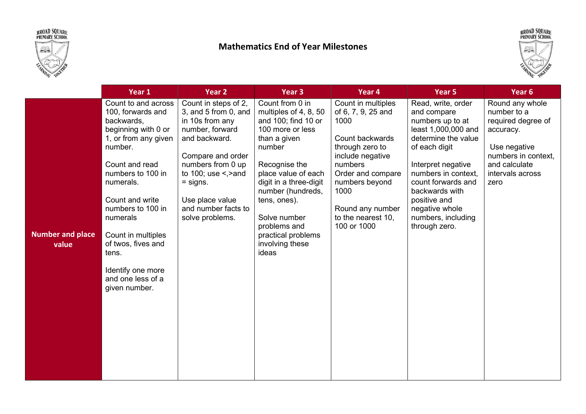



## Mathematics End of Year Milestones



|                                  | Year 1                                                                                                                                                                                                                                                                                                                                   | Year <sub>2</sub>                                                                                                                                                                                                                                        | Year <sub>3</sub>                                                                                                                                                                                                                                                                                      | Year 4                                                                                                                                                                                                                        | Year 5                                                                                                                                                                                                                                                                             | Year <sub>6</sub>                                                                                                                                     |
|----------------------------------|------------------------------------------------------------------------------------------------------------------------------------------------------------------------------------------------------------------------------------------------------------------------------------------------------------------------------------------|----------------------------------------------------------------------------------------------------------------------------------------------------------------------------------------------------------------------------------------------------------|--------------------------------------------------------------------------------------------------------------------------------------------------------------------------------------------------------------------------------------------------------------------------------------------------------|-------------------------------------------------------------------------------------------------------------------------------------------------------------------------------------------------------------------------------|------------------------------------------------------------------------------------------------------------------------------------------------------------------------------------------------------------------------------------------------------------------------------------|-------------------------------------------------------------------------------------------------------------------------------------------------------|
| <b>Number and place</b><br>value | Count to and across<br>100, forwards and<br>backwards,<br>beginning with 0 or<br>1, or from any given<br>number.<br>Count and read<br>numbers to 100 in<br>numerals.<br>Count and write<br>numbers to 100 in<br>numerals<br>Count in multiples<br>of twos, fives and<br>tens.<br>Identify one more<br>and one less of a<br>given number. | Count in steps of 2,<br>3, and 5 from 0, and<br>in 10s from any<br>number, forward<br>and backward.<br>Compare and order<br>numbers from 0 up<br>to $100$ ; use $\le$ , > and<br>$=$ signs.<br>Use place value<br>and number facts to<br>solve problems. | Count from 0 in<br>multiples of 4, 8, 50<br>and 100; find 10 or<br>100 more or less<br>than a given<br>number<br>Recognise the<br>place value of each<br>digit in a three-digit<br>number (hundreds,<br>tens, ones).<br>Solve number<br>problems and<br>practical problems<br>involving these<br>ideas | Count in multiples<br>of 6, 7, 9, 25 and<br>1000<br>Count backwards<br>through zero to<br>include negative<br>numbers<br>Order and compare<br>numbers beyond<br>1000<br>Round any number<br>to the nearest 10,<br>100 or 1000 | Read, write, order<br>and compare<br>numbers up to at<br>least 1,000,000 and<br>determine the value<br>of each digit<br>Interpret negative<br>numbers in context,<br>count forwards and<br>backwards with<br>positive and<br>negative whole<br>numbers, including<br>through zero. | Round any whole<br>number to a<br>required degree of<br>accuracy.<br>Use negative<br>numbers in context,<br>and calculate<br>intervals across<br>zero |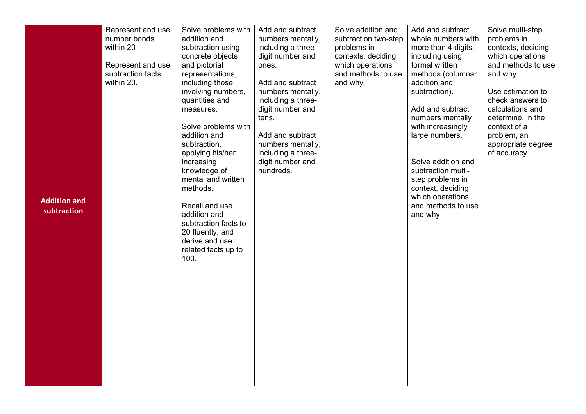|                     | Represent and use | Solve problems with                | Add and subtract              | Solve addition and   | Add and subtract                       | Solve multi-step   |
|---------------------|-------------------|------------------------------------|-------------------------------|----------------------|----------------------------------------|--------------------|
|                     | number bonds      | addition and                       | numbers mentally,             | subtraction two-step | whole numbers with                     | problems in        |
|                     | within 20         | subtraction using                  | including a three-            | problems in          | more than 4 digits,                    | contexts, deciding |
|                     |                   | concrete objects                   | digit number and              | contexts, deciding   | including using                        | which operations   |
|                     | Represent and use | and pictorial                      | ones.                         | which operations     | formal written                         | and methods to use |
|                     | subtraction facts | representations,                   |                               | and methods to use   | methods (columnar                      | and why            |
|                     | within 20.        | including those                    | Add and subtract              | and why              | addition and                           |                    |
|                     |                   | involving numbers,                 | numbers mentally,             |                      | subtraction).                          | Use estimation to  |
|                     |                   | quantities and                     | including a three-            |                      |                                        | check answers to   |
|                     |                   | measures.                          | digit number and              |                      | Add and subtract                       | calculations and   |
|                     |                   |                                    | tens.                         |                      | numbers mentally                       | determine, in the  |
|                     |                   | Solve problems with                |                               |                      | with increasingly                      | context of a       |
|                     |                   | addition and                       | Add and subtract              |                      | large numbers.                         | problem, an        |
|                     |                   | subtraction,                       | numbers mentally,             |                      |                                        | appropriate degree |
|                     |                   | applying his/her                   | including a three-            |                      |                                        | of accuracy        |
|                     |                   | increasing                         | digit number and<br>hundreds. |                      | Solve addition and                     |                    |
|                     |                   | knowledge of<br>mental and written |                               |                      | subtraction multi-<br>step problems in |                    |
|                     |                   | methods.                           |                               |                      | context, deciding                      |                    |
|                     |                   |                                    |                               |                      | which operations                       |                    |
| <b>Addition and</b> |                   | Recall and use                     |                               |                      | and methods to use                     |                    |
| subtraction         |                   | addition and                       |                               |                      | and why                                |                    |
|                     |                   | subtraction facts to               |                               |                      |                                        |                    |
|                     |                   | 20 fluently, and                   |                               |                      |                                        |                    |
|                     |                   | derive and use                     |                               |                      |                                        |                    |
|                     |                   | related facts up to                |                               |                      |                                        |                    |
|                     |                   | 100.                               |                               |                      |                                        |                    |
|                     |                   |                                    |                               |                      |                                        |                    |
|                     |                   |                                    |                               |                      |                                        |                    |
|                     |                   |                                    |                               |                      |                                        |                    |
|                     |                   |                                    |                               |                      |                                        |                    |
|                     |                   |                                    |                               |                      |                                        |                    |
|                     |                   |                                    |                               |                      |                                        |                    |
|                     |                   |                                    |                               |                      |                                        |                    |
|                     |                   |                                    |                               |                      |                                        |                    |
|                     |                   |                                    |                               |                      |                                        |                    |
|                     |                   |                                    |                               |                      |                                        |                    |
|                     |                   |                                    |                               |                      |                                        |                    |
|                     |                   |                                    |                               |                      |                                        |                    |
|                     |                   |                                    |                               |                      |                                        |                    |
|                     |                   |                                    |                               |                      |                                        |                    |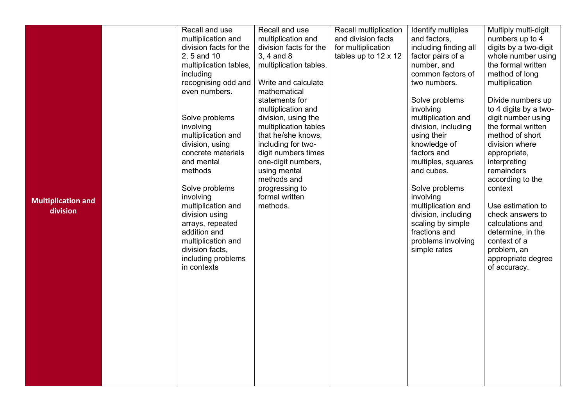|                           | Recall and use         | Recall and use         | Recall multiplication       | Identify multiples    | Multiply multi-digit  |
|---------------------------|------------------------|------------------------|-----------------------------|-----------------------|-----------------------|
|                           | multiplication and     | multiplication and     | and division facts          | and factors,          | numbers up to 4       |
|                           | division facts for the | division facts for the | for multiplication          | including finding all | digits by a two-digit |
|                           | 2, 5 and 10            | 3, 4 and 8             | tables up to $12 \times 12$ | factor pairs of a     | whole number using    |
|                           | multiplication tables, | multiplication tables. |                             | number, and           | the formal written    |
|                           | including              |                        |                             | common factors of     | method of long        |
|                           | recognising odd and    | Write and calculate    |                             | two numbers.          | multiplication        |
|                           | even numbers.          | mathematical           |                             |                       |                       |
|                           |                        | statements for         |                             | Solve problems        | Divide numbers up     |
|                           |                        | multiplication and     |                             | involving             | to 4 digits by a two- |
|                           | Solve problems         | division, using the    |                             | multiplication and    | digit number using    |
|                           | involving              | multiplication tables  |                             | division, including   | the formal written    |
|                           | multiplication and     | that he/she knows,     |                             | using their           | method of short       |
|                           | division, using        | including for two-     |                             | knowledge of          | division where        |
|                           | concrete materials     | digit numbers times    |                             | factors and           | appropriate,          |
|                           | and mental             | one-digit numbers,     |                             | multiples, squares    | interpreting          |
|                           | methods                | using mental           |                             | and cubes.            | remainders            |
|                           |                        | methods and            |                             |                       | according to the      |
|                           | Solve problems         | progressing to         |                             | Solve problems        | context               |
| <b>Multiplication and</b> | involving              | formal written         |                             | involving             |                       |
| division                  | multiplication and     | methods.               |                             | multiplication and    | Use estimation to     |
|                           | division using         |                        |                             | division, including   | check answers to      |
|                           | arrays, repeated       |                        |                             | scaling by simple     | calculations and      |
|                           | addition and           |                        |                             | fractions and         | determine, in the     |
|                           | multiplication and     |                        |                             | problems involving    | context of a          |
|                           | division facts,        |                        |                             | simple rates          | problem, an           |
|                           | including problems     |                        |                             |                       | appropriate degree    |
|                           | in contexts            |                        |                             |                       | of accuracy.          |
|                           |                        |                        |                             |                       |                       |
|                           |                        |                        |                             |                       |                       |
|                           |                        |                        |                             |                       |                       |
|                           |                        |                        |                             |                       |                       |
|                           |                        |                        |                             |                       |                       |
|                           |                        |                        |                             |                       |                       |
|                           |                        |                        |                             |                       |                       |
|                           |                        |                        |                             |                       |                       |
|                           |                        |                        |                             |                       |                       |
|                           |                        |                        |                             |                       |                       |
|                           |                        |                        |                             |                       |                       |
|                           |                        |                        |                             |                       |                       |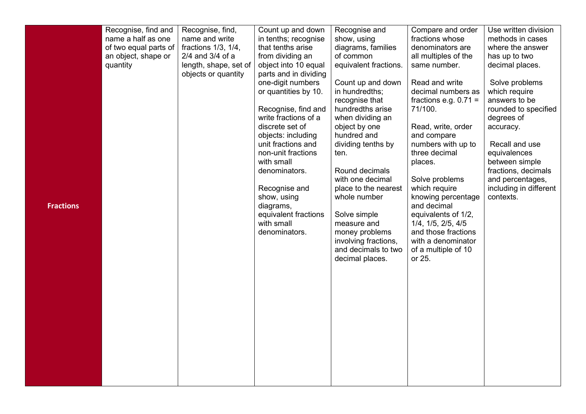|                  | Recognise, find and<br>name a half as one<br>of two equal parts of<br>an object, shape or<br>quantity | Recognise, find,<br>name and write<br>fractions $1/3$ , $1/4$ ,<br>$2/4$ and $3/4$ of a<br>length, shape, set of<br>objects or quantity | Count up and down<br>in tenths; recognise<br>that tenths arise<br>from dividing an<br>object into 10 equal<br>parts and in dividing<br>one-digit numbers<br>or quantities by 10.<br>Recognise, find and<br>write fractions of a<br>discrete set of | Recognise and<br>show, using<br>diagrams, families<br>of common<br>equivalent fractions.<br>Count up and down<br>in hundredths;<br>recognise that<br>hundredths arise<br>when dividing an<br>object by one                                 | Compare and order<br>fractions whose<br>denominators are<br>all multiples of the<br>same number.<br>Read and write<br>decimal numbers as<br>fractions e.g. $0.71 =$<br>71/100.<br>Read, write, order                                                             | Use written division<br>methods in cases<br>where the answer<br>has up to two<br>decimal places.<br>Solve problems<br>which require<br>answers to be<br>rounded to specified<br>degrees of<br>accuracy. |
|------------------|-------------------------------------------------------------------------------------------------------|-----------------------------------------------------------------------------------------------------------------------------------------|----------------------------------------------------------------------------------------------------------------------------------------------------------------------------------------------------------------------------------------------------|--------------------------------------------------------------------------------------------------------------------------------------------------------------------------------------------------------------------------------------------|------------------------------------------------------------------------------------------------------------------------------------------------------------------------------------------------------------------------------------------------------------------|---------------------------------------------------------------------------------------------------------------------------------------------------------------------------------------------------------|
| <b>Fractions</b> |                                                                                                       |                                                                                                                                         | objects: including<br>unit fractions and<br>non-unit fractions<br>with small<br>denominators.<br>Recognise and<br>show, using<br>diagrams,<br>equivalent fractions<br>with small<br>denominators.                                                  | hundred and<br>dividing tenths by<br>ten.<br>Round decimals<br>with one decimal<br>place to the nearest<br>whole number<br>Solve simple<br>measure and<br>money problems<br>involving fractions,<br>and decimals to two<br>decimal places. | and compare<br>numbers with up to<br>three decimal<br>places.<br>Solve problems<br>which require<br>knowing percentage<br>and decimal<br>equivalents of 1/2,<br>1/4, 1/5, 2/5, 4/5<br>and those fractions<br>with a denominator<br>of a multiple of 10<br>or 25. | Recall and use<br>equivalences<br>between simple<br>fractions, decimals<br>and percentages,<br>including in different<br>contexts.                                                                      |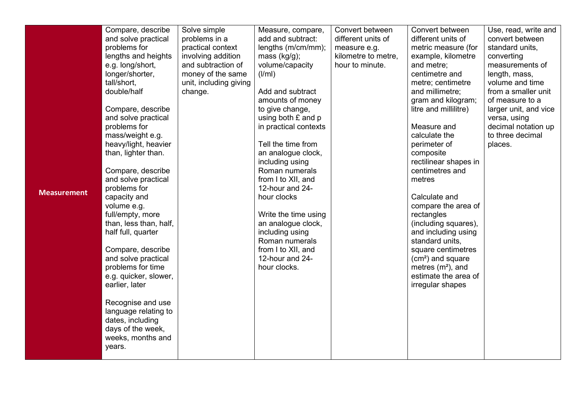|                    | Compare, describe      | Solve simple           | Measure, compare,     | Convert between     | Convert between       | Use, read, write and  |
|--------------------|------------------------|------------------------|-----------------------|---------------------|-----------------------|-----------------------|
|                    |                        |                        |                       |                     |                       |                       |
|                    | and solve practical    | problems in a          | add and subtract:     | different units of  | different units of    | convert between       |
|                    | problems for           | practical context      | lengths (m/cm/mm);    | measure e.g.        | metric measure (for   | standard units,       |
|                    | lengths and heights    | involving addition     | mass $(kg/g)$ ;       | kilometre to metre, | example, kilometre    | converting            |
|                    | e.g. long/short,       | and subtraction of     | volume/capacity       | hour to minute.     | and metre;            | measurements of       |
|                    | longer/shorter,        | money of the same      | (1/ml)                |                     | centimetre and        | length, mass,         |
|                    | tall/short,            | unit, including giving |                       |                     | metre; centimetre     | volume and time       |
|                    | double/half            | change.                | Add and subtract      |                     | and millimetre;       | from a smaller unit   |
|                    |                        |                        | amounts of money      |                     | gram and kilogram;    | of measure to a       |
|                    | Compare, describe      |                        | to give change,       |                     | litre and millilitre) | larger unit, and vice |
|                    | and solve practical    |                        | using both £ and p    |                     |                       | versa, using          |
|                    | problems for           |                        | in practical contexts |                     | Measure and           | decimal notation up   |
|                    | mass/weight e.g.       |                        |                       |                     | calculate the         | to three decimal      |
|                    | heavy/light, heavier   |                        | Tell the time from    |                     | perimeter of          | places.               |
|                    | than, lighter than.    |                        | an analogue clock,    |                     | composite             |                       |
|                    |                        |                        | including using       |                     | rectilinear shapes in |                       |
|                    | Compare, describe      |                        | Roman numerals        |                     | centimetres and       |                       |
|                    | and solve practical    |                        | from I to XII, and    |                     | metres                |                       |
| <b>Measurement</b> | problems for           |                        | 12-hour and 24-       |                     |                       |                       |
|                    | capacity and           |                        | hour clocks           |                     | Calculate and         |                       |
|                    | volume e.g.            |                        |                       |                     | compare the area of   |                       |
|                    | full/empty, more       |                        | Write the time using  |                     | rectangles            |                       |
|                    | than, less than, half, |                        | an analogue clock,    |                     | (including squares),  |                       |
|                    | half full, quarter     |                        | including using       |                     | and including using   |                       |
|                    |                        |                        | Roman numerals        |                     | standard units,       |                       |
|                    | Compare, describe      |                        | from I to XII, and    |                     | square centimetres    |                       |
|                    | and solve practical    |                        | 12-hour and 24-       |                     | $(cm2)$ and square    |                       |
|                    | problems for time      |                        | hour clocks.          |                     | metres $(m2)$ , and   |                       |
|                    | e.g. quicker, slower,  |                        |                       |                     | estimate the area of  |                       |
|                    | earlier, later         |                        |                       |                     | irregular shapes      |                       |
|                    |                        |                        |                       |                     |                       |                       |
|                    | Recognise and use      |                        |                       |                     |                       |                       |
|                    | language relating to   |                        |                       |                     |                       |                       |
|                    | dates, including       |                        |                       |                     |                       |                       |
|                    | days of the week,      |                        |                       |                     |                       |                       |
|                    | weeks, months and      |                        |                       |                     |                       |                       |
|                    | years.                 |                        |                       |                     |                       |                       |
|                    |                        |                        |                       |                     |                       |                       |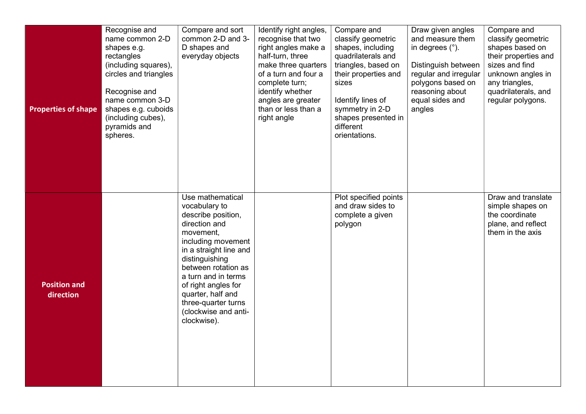| <b>Properties of shape</b>       | Recognise and<br>name common 2-D<br>shapes e.g.<br>rectangles<br>(including squares),<br>circles and triangles<br>Recognise and<br>name common 3-D<br>shapes e.g. cuboids<br>(including cubes),<br>pyramids and<br>spheres. | Compare and sort<br>common 2-D and 3-<br>D shapes and<br>everyday objects                                                                                                                                                                                                                                       | Identify right angles,<br>recognise that two<br>right angles make a<br>half-turn, three<br>make three quarters<br>of a turn and four a<br>complete turn;<br>identify whether<br>angles are greater<br>than or less than a<br>right angle | Compare and<br>classify geometric<br>shapes, including<br>quadrilaterals and<br>triangles, based on<br>their properties and<br>sizes<br>Identify lines of<br>symmetry in 2-D<br>shapes presented in<br>different<br>orientations. | Draw given angles<br>and measure them<br>in degrees $(°)$ .<br>Distinguish between<br>regular and irregular<br>polygons based on<br>reasoning about<br>equal sides and<br>angles | Compare and<br>classify geometric<br>shapes based on<br>their properties and<br>sizes and find<br>unknown angles in<br>any triangles,<br>quadrilaterals, and<br>regular polygons. |
|----------------------------------|-----------------------------------------------------------------------------------------------------------------------------------------------------------------------------------------------------------------------------|-----------------------------------------------------------------------------------------------------------------------------------------------------------------------------------------------------------------------------------------------------------------------------------------------------------------|------------------------------------------------------------------------------------------------------------------------------------------------------------------------------------------------------------------------------------------|-----------------------------------------------------------------------------------------------------------------------------------------------------------------------------------------------------------------------------------|----------------------------------------------------------------------------------------------------------------------------------------------------------------------------------|-----------------------------------------------------------------------------------------------------------------------------------------------------------------------------------|
| <b>Position and</b><br>direction |                                                                                                                                                                                                                             | Use mathematical<br>vocabulary to<br>describe position,<br>direction and<br>movement,<br>including movement<br>in a straight line and<br>distinguishing<br>between rotation as<br>a turn and in terms<br>of right angles for<br>quarter, half and<br>three-quarter turns<br>(clockwise and anti-<br>clockwise). |                                                                                                                                                                                                                                          | Plot specified points<br>and draw sides to<br>complete a given<br>polygon                                                                                                                                                         |                                                                                                                                                                                  | Draw and translate<br>simple shapes on<br>the coordinate<br>plane, and reflect<br>them in the axis                                                                                |